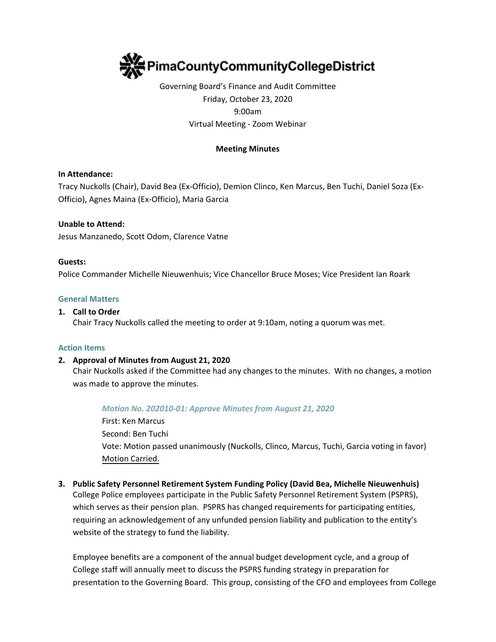

# Governing Board's Finance and Audit Committee Friday, October 23, 2020 9:00am Virtual Meeting - Zoom Webinar

# **Meeting Minutes**

### **In Attendance:**

Tracy Nuckolls (Chair), David Bea (Ex-Officio), Demion Clinco, Ken Marcus, Ben Tuchi, Daniel Soza (Ex-Officio), Agnes Maina (Ex-Officio), Maria Garcia

### **Unable to Attend:**

Jesus Manzanedo, Scott Odom, Clarence Vatne

#### **Guests:**

Police Commander Michelle Nieuwenhuis; Vice Chancellor Bruce Moses; Vice President Ian Roark

#### **General Matters**

#### **1. Call to Order**

Chair Tracy Nuckolls called the meeting to order at 9:10am, noting a quorum was met.

#### **Action Items**

### **2. Approval of Minutes from August 21, 2020**

Chair Nuckolls asked if the Committee had any changes to the minutes. With no changes, a motion was made to approve the minutes.

### *Motion No. 202010-01: Approve Minutes from August 21, 2020*

First: Ken Marcus Second: Ben Tuchi Vote: Motion passed unanimously (Nuckolls, Clinco, Marcus, Tuchi, Garcia voting in favor) Motion Carried.

**3. Public Safety Personnel Retirement System Funding Policy (David Bea, Michelle Nieuwenhuis)** College Police employees participate in the Public Safety Personnel Retirement System (PSPRS), which serves as their pension plan. PSPRS has changed requirements for participating entities, requiring an acknowledgement of any unfunded pension liability and publication to the entity's website of the strategy to fund the liability.

Employee benefits are a component of the annual budget development cycle, and a group of College staff will annually meet to discuss the PSPRS funding strategy in preparation for presentation to the Governing Board. This group, consisting of the CFO and employees from College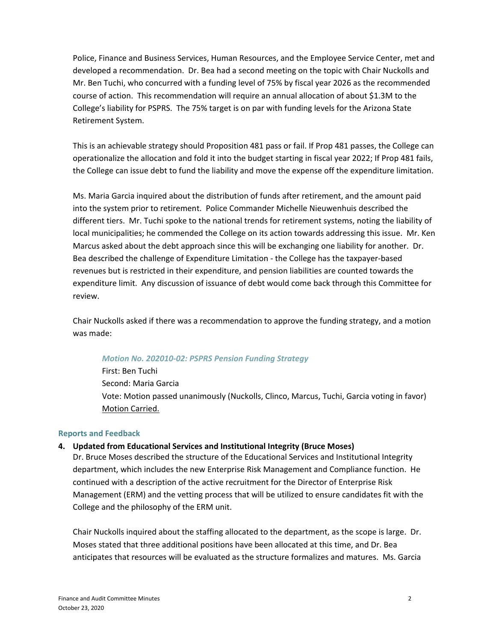Police, Finance and Business Services, Human Resources, and the Employee Service Center, met and developed a recommendation. Dr. Bea had a second meeting on the topic with Chair Nuckolls and Mr. Ben Tuchi, who concurred with a funding level of 75% by fiscal year 2026 as the recommended course of action. This recommendation will require an annual allocation of about \$1.3M to the College's liability for PSPRS. The 75% target is on par with funding levels for the Arizona State Retirement System.

This is an achievable strategy should Proposition 481 pass or fail. If Prop 481 passes, the College can operationalize the allocation and fold it into the budget starting in fiscal year 2022; If Prop 481 fails, the College can issue debt to fund the liability and move the expense off the expenditure limitation.

Ms. Maria Garcia inquired about the distribution of funds after retirement, and the amount paid into the system prior to retirement. Police Commander Michelle Nieuwenhuis described the different tiers. Mr. Tuchi spoke to the national trends for retirement systems, noting the liability of local municipalities; he commended the College on its action towards addressing this issue. Mr. Ken Marcus asked about the debt approach since this will be exchanging one liability for another. Dr. Bea described the challenge of Expenditure Limitation - the College has the taxpayer-based revenues but is restricted in their expenditure, and pension liabilities are counted towards the expenditure limit. Any discussion of issuance of debt would come back through this Committee for review.

Chair Nuckolls asked if there was a recommendation to approve the funding strategy, and a motion was made:

### *Motion No. 202010-02: PSPRS Pension Funding Strategy*

First: Ben Tuchi Second: Maria Garcia Vote: Motion passed unanimously (Nuckolls, Clinco, Marcus, Tuchi, Garcia voting in favor) Motion Carried.

#### **Reports and Feedback**

#### **4. Updated from Educational Services and Institutional Integrity (Bruce Moses)**

Dr. Bruce Moses described the structure of the Educational Services and Institutional Integrity department, which includes the new Enterprise Risk Management and Compliance function. He continued with a description of the active recruitment for the Director of Enterprise Risk Management (ERM) and the vetting process that will be utilized to ensure candidates fit with the College and the philosophy of the ERM unit.

Chair Nuckolls inquired about the staffing allocated to the department, as the scope is large. Dr. Moses stated that three additional positions have been allocated at this time, and Dr. Bea anticipates that resources will be evaluated as the structure formalizes and matures. Ms. Garcia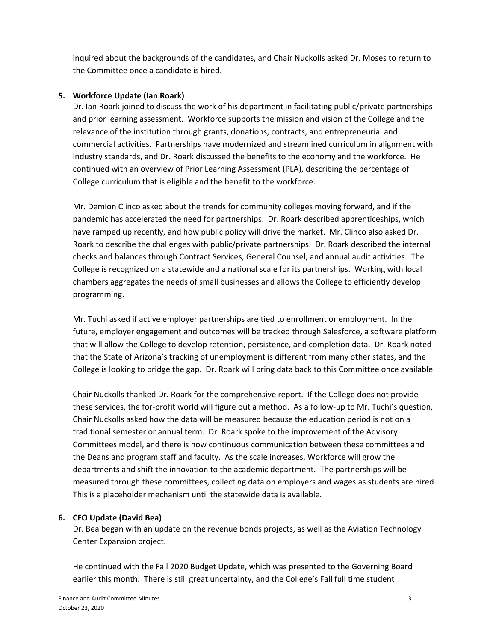inquired about the backgrounds of the candidates, and Chair Nuckolls asked Dr. Moses to return to the Committee once a candidate is hired.

# **5. Workforce Update (Ian Roark)**

Dr. Ian Roark joined to discuss the work of his department in facilitating public/private partnerships and prior learning assessment. Workforce supports the mission and vision of the College and the relevance of the institution through grants, donations, contracts, and entrepreneurial and commercial activities. Partnerships have modernized and streamlined curriculum in alignment with industry standards, and Dr. Roark discussed the benefits to the economy and the workforce. He continued with an overview of Prior Learning Assessment (PLA), describing the percentage of College curriculum that is eligible and the benefit to the workforce.

Mr. Demion Clinco asked about the trends for community colleges moving forward, and if the pandemic has accelerated the need for partnerships. Dr. Roark described apprenticeships, which have ramped up recently, and how public policy will drive the market. Mr. Clinco also asked Dr. Roark to describe the challenges with public/private partnerships. Dr. Roark described the internal checks and balances through Contract Services, General Counsel, and annual audit activities. The College is recognized on a statewide and a national scale for its partnerships. Working with local chambers aggregates the needs of small businesses and allows the College to efficiently develop programming.

Mr. Tuchi asked if active employer partnerships are tied to enrollment or employment. In the future, employer engagement and outcomes will be tracked through Salesforce, a software platform that will allow the College to develop retention, persistence, and completion data. Dr. Roark noted that the State of Arizona's tracking of unemployment is different from many other states, and the College is looking to bridge the gap. Dr. Roark will bring data back to this Committee once available.

Chair Nuckolls thanked Dr. Roark for the comprehensive report. If the College does not provide these services, the for-profit world will figure out a method. As a follow-up to Mr. Tuchi's question, Chair Nuckolls asked how the data will be measured because the education period is not on a traditional semester or annual term. Dr. Roark spoke to the improvement of the Advisory Committees model, and there is now continuous communication between these committees and the Deans and program staff and faculty. As the scale increases, Workforce will grow the departments and shift the innovation to the academic department. The partnerships will be measured through these committees, collecting data on employers and wages as students are hired. This is a placeholder mechanism until the statewide data is available.

# **6. CFO Update (David Bea)**

Dr. Bea began with an update on the revenue bonds projects, as well as the Aviation Technology Center Expansion project.

He continued with the Fall 2020 Budget Update, which was presented to the Governing Board earlier this month. There is still great uncertainty, and the College's Fall full time student